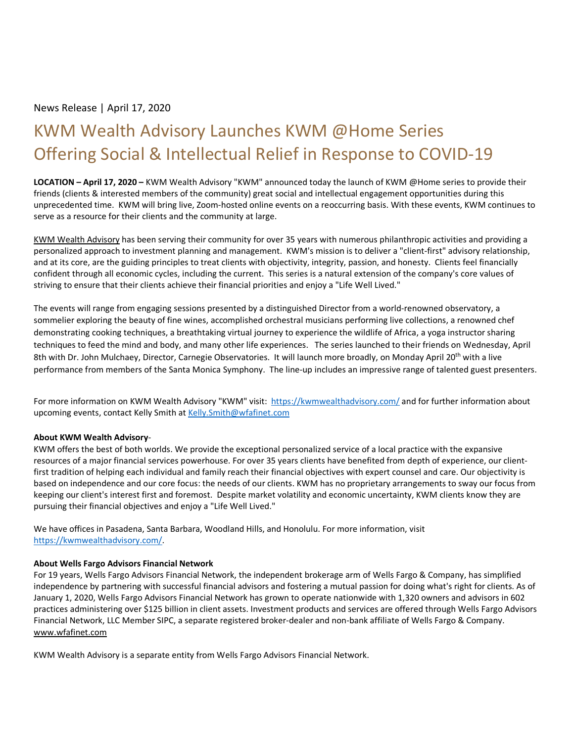## News Release | April 17, 2020

# KWM Wealth Advisory Launches KWM @Home Series Offering Social & Intellectual Relief in Response to COVID-19

**LOCATION – April 17, 2020 –** KWM Wealth Advisory "KWM" announced today the launch of KWM @Home series to provide their friends (clients & interested members of the community) great social and intellectual engagement opportunities during this unprecedented time. KWM will bring live, Zoom-hosted online events on a reoccurring basis. With these events, KWM continues to serve as a resource for their clients and the community at large.

[KWM Wealth Advisory](https://kauffmanwm.com/) has been serving their community for over 35 years with numerous philanthropic activities and providing a personalized approach to investment planning and management. KWM's mission is to deliver a "client-first" advisory relationship, and at its core, are the guiding principles to treat clients with objectivity, integrity, passion, and honesty. Clients feel financially confident through all economic cycles, including the current. This series is a natural extension of the company's core values of striving to ensure that their clients achieve their financial priorities and enjoy a "Life Well Lived."

The events will range from engaging sessions presented by a distinguished Director from a world-renowned observatory, a sommelier exploring the beauty of fine wines, accomplished orchestral musicians performing live collections, a renowned chef demonstrating cooking techniques, a breathtaking virtual journey to experience the wildlife of Africa, a yoga instructor sharing techniques to feed the mind and body, and many other life experiences. The series launched to their friends on Wednesday, April 8th with Dr. John Mulchaey, Director, Carnegie Observatories. It will launch more broadly, on Monday April 20<sup>th</sup> with a live performance from members of the Santa Monica Symphony. The line-up includes an impressive range of talented guest presenters.

For more information on KWM Wealth Advisory "KWM" visit:<https://kwmwealthadvisory.com/> and for further information about upcoming events, contact Kelly Smith at Kelly. Smith@wfafinet.com

#### **About KWM Wealth Advisory**-

KWM offers the best of both worlds. We provide the exceptional personalized service of a local practice with the expansive resources of a major financial services powerhouse. For over 35 years clients have benefited from depth of experience, our clientfirst tradition of helping each individual and family reach their financial objectives with expert counsel and care. Our objectivity is based on independence and our core focus: the needs of our clients. KWM has no proprietary arrangements to sway our focus from keeping our client's interest first and foremost. Despite market volatility and economic uncertainty, KWM clients know they are pursuing their financial objectives and enjoy a "Life Well Lived."

We have offices in Pasadena, Santa Barbara, Woodland Hills, and Honolulu. For more information, visit [https://kwmwealthadvisory.com/.](https://kwmwealthadvisory.com/)

#### **About Wells Fargo Advisors Financial Network**

For 19 years, Wells Fargo Advisors Financial Network, the independent brokerage arm of Wells Fargo & Company, has simplified independence by partnering with successful financial advisors and fostering a mutual passion for doing what's right for clients. As of January 1, 2020, Wells Fargo Advisors Financial Network has grown to operate nationwide with 1,320 owners and advisors in 602 practices administering over \$125 billion in client assets. Investment products and services are offered through Wells Fargo Advisors Financial Network, LLC Member SIPC, a separate registered broker-dealer and non-bank affiliate of Wells Fargo & Company. [www.wfafinet.com](http://www.wfafinet.com/)

KWM Wealth Advisory is a separate entity from Wells Fargo Advisors Financial Network.